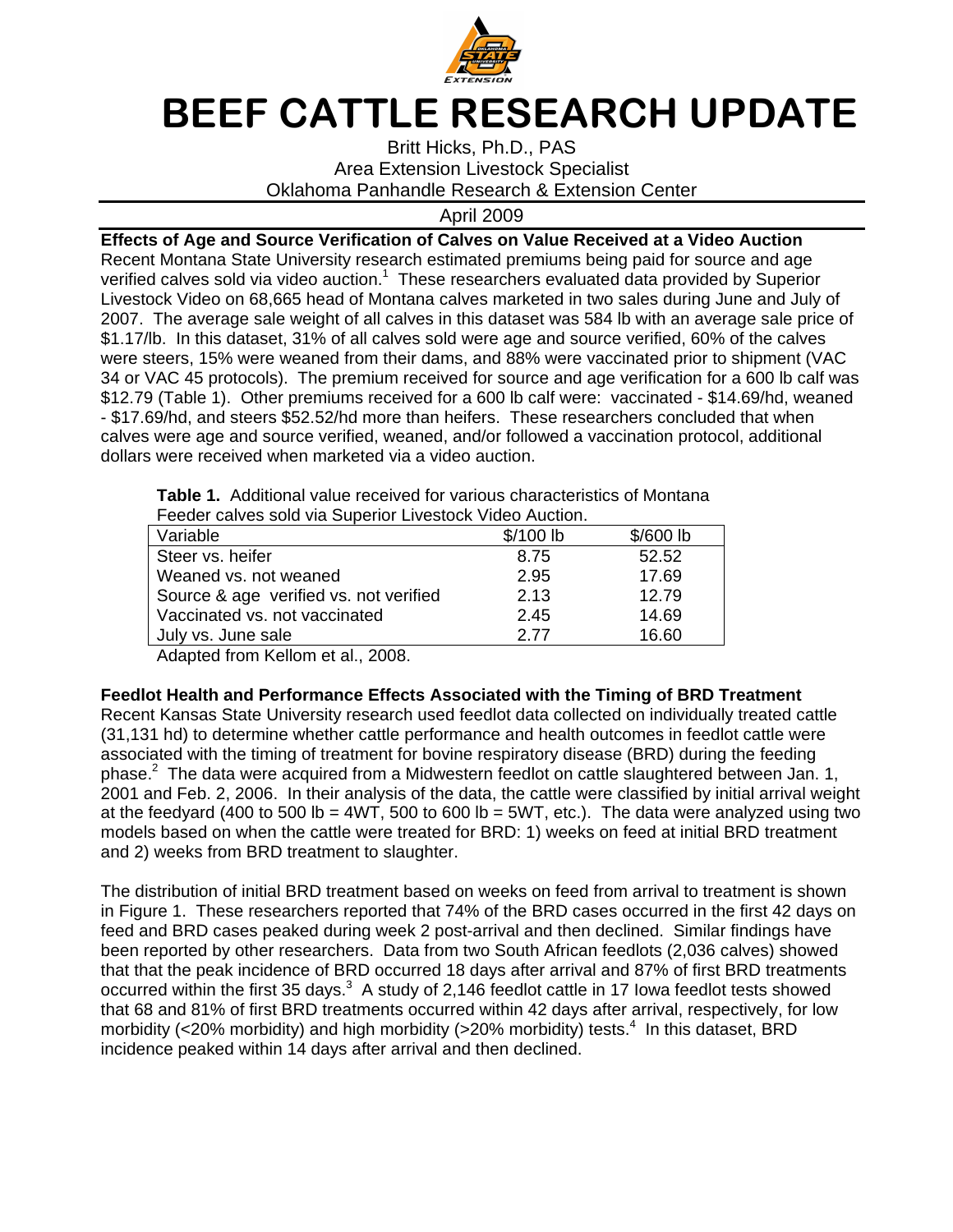

## BEEF CATTLE RESEARCH UPDATE

Britt Hicks, Ph.D., PAS Area Extension Livestock Specialist Oklahoma Panhandle Research & Extension Center

April 2009

**Effects of Age and Source Verification of Calves on Value Received at a Video Auction**  Recent Montana State University research estimated premiums being paid for source and age verified calves sold via video auction.<sup>1</sup> These researchers evaluated data provided by Superior Livestock Video on 68,665 head of Montana calves marketed in two sales during June and July of 2007. The average sale weight of all calves in this dataset was 584 lb with an average sale price of \$1.17/lb. In this dataset, 31% of all calves sold were age and source verified, 60% of the calves were steers, 15% were weaned from their dams, and 88% were vaccinated prior to shipment (VAC 34 or VAC 45 protocols). The premium received for source and age verification for a 600 lb calf was \$12.79 (Table 1). Other premiums received for a 600 lb calf were: vaccinated - \$14.69/hd, weaned - \$17.69/hd, and steers \$52.52/hd more than heifers. These researchers concluded that when calves were age and source verified, weaned, and/or followed a vaccination protocol, additional dollars were received when marketed via a video auction.

| Feeder calves sold via Superior Livestock Video Auction. |            |            |
|----------------------------------------------------------|------------|------------|
| Variable                                                 | $$/100$ lb | $$/600$ lb |
| Steer vs. heifer                                         | 8.75       | 52.52      |
| Weaned vs. not weaned                                    | 2.95       | 17.69      |
| Source & age verified vs. not verified                   | 2.13       | 12.79      |
| Vaccinated vs. not vaccinated                            | 2.45       | 14.69      |
| July vs. June sale                                       | 2.77       | 16.60      |

**Table 1.** Additional value received for various characteristics of Montana

Adapted from Kellom et al., 2008.

## **Feedlot Health and Performance Effects Associated with the Timing of BRD Treatment**

Recent Kansas State University research used feedlot data collected on individually treated cattle (31,131 hd) to determine whether cattle performance and health outcomes in feedlot cattle were associated with the timing of treatment for bovine respiratory disease (BRD) during the feeding phase.<sup>2</sup> The data were acquired from a Midwestern feedlot on cattle slaughtered between Jan. 1, 2001 and Feb. 2, 2006. In their analysis of the data, the cattle were classified by initial arrival weight at the feedyard (400 to 500 lb = 4WT, 500 to 600 lb = 5WT, etc.). The data were analyzed using two models based on when the cattle were treated for BRD: 1) weeks on feed at initial BRD treatment and 2) weeks from BRD treatment to slaughter.

The distribution of initial BRD treatment based on weeks on feed from arrival to treatment is shown in Figure 1. These researchers reported that 74% of the BRD cases occurred in the first 42 days on feed and BRD cases peaked during week 2 post-arrival and then declined. Similar findings have been reported by other researchers. Data from two South African feedlots (2,036 calves) showed that that the peak incidence of BRD occurred 18 days after arrival and 87% of first BRD treatments occurred within the first 35 days. $3\,$  A study of 2,146 feedlot cattle in 17 lowa feedlot tests showed that 68 and 81% of first BRD treatments occurred within 42 days after arrival, respectively, for low morbidity (<20% morbidity) and high morbidity (>20% morbidity) tests.<sup>4</sup> In this dataset, BRD incidence peaked within 14 days after arrival and then declined.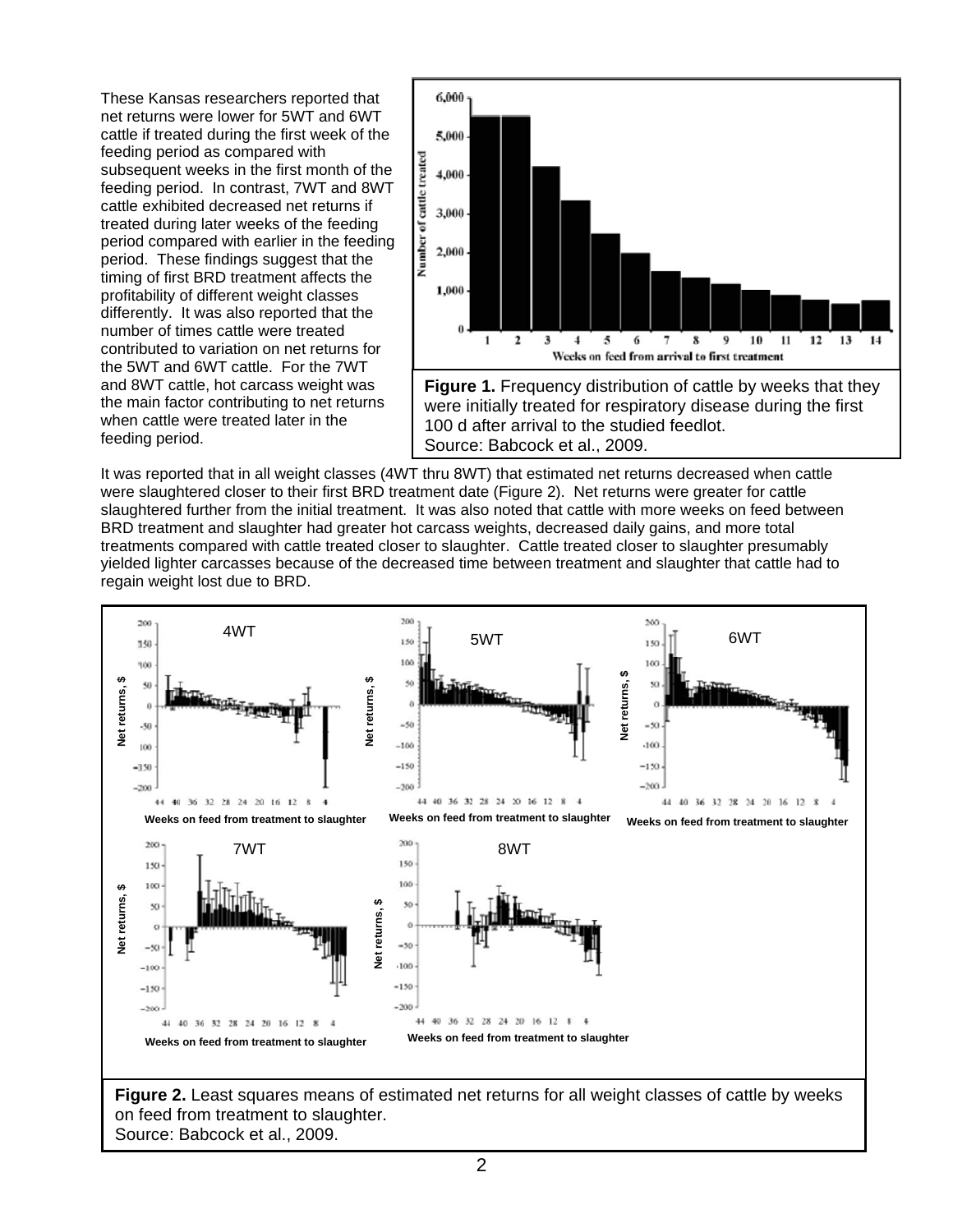These Kansas researchers reported that net returns were lower for 5WT and 6WT cattle if treated during the first week of the feeding period as compared with subsequent weeks in the first month of the feeding period. In contrast, 7WT and 8WT cattle exhibited decreased net returns if treated during later weeks of the feeding period compared with earlier in the feeding period. These findings suggest that the timing of first BRD treatment affects the profitability of different weight classes differently. It was also reported that the number of times cattle were treated contributed to variation on net returns for the 5WT and 6WT cattle. For the 7WT and 8WT cattle, hot carcass weight was the main factor contributing to net returns when cattle were treated later in the feeding period.



Source: Babcock et al., 2009.

It was reported that in all weight classes (4WT thru 8WT) that estimated net returns decreased when cattle were slaughtered closer to their first BRD treatment date (Figure 2). Net returns were greater for cattle slaughtered further from the initial treatment. It was also noted that cattle with more weeks on feed between BRD treatment and slaughter had greater hot carcass weights, decreased daily gains, and more total treatments compared with cattle treated closer to slaughter. Cattle treated closer to slaughter presumably yielded lighter carcasses because of the decreased time between treatment and slaughter that cattle had to regain weight lost due to BRD.